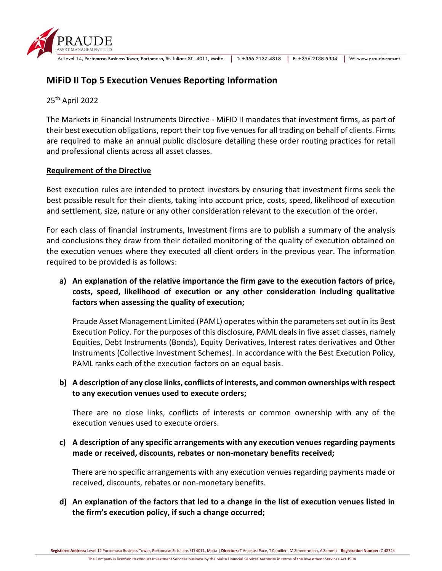|  | 4 L<br>ASSET MANAGEMENT LTD |
|--|-----------------------------|
|  | A. Laval 14 Portamaso Rusin |

A: Level 14, Portomaso Business Tower, Portomaso, St. Julians STJ 4011, Malta | T: +356 2137 4313 | F: +356 2138 5334 | W: www.praude.com.mt

## **MiFiD II Top 5 Execution Venues Reporting Information**

25th April 2022

The Markets in Financial Instruments Directive - MiFID II mandates that investment firms, as part of their best execution obligations, report their top five venues for all trading on behalf of clients. Firms are required to make an annual public disclosure detailing these order routing practices for retail and professional clients across all asset classes.

## **Requirement of the Directive**

Best execution rules are intended to protect investors by ensuring that investment firms seek the best possible result for their clients, taking into account price, costs, speed, likelihood of execution and settlement, size, nature or any other consideration relevant to the execution of the order.

For each class of financial instruments, Investment firms are to publish a summary of the analysis and conclusions they draw from their detailed monitoring of the quality of execution obtained on the execution venues where they executed all client orders in the previous year. The information required to be provided is as follows:

**a) An explanation of the relative importance the firm gave to the execution factors of price, costs, speed, likelihood of execution or any other consideration including qualitative factors when assessing the quality of execution;** 

Praude Asset Management Limited (PAML) operates within the parameters set out in its Best Execution Policy. For the purposes of this disclosure, PAML deals in five asset classes, namely Equities, Debt Instruments (Bonds), Equity Derivatives, Interest rates derivatives and Other Instruments (Collective Investment Schemes). In accordance with the Best Execution Policy, PAML ranks each of the execution factors on an equal basis.

## **b) A description of any close links, conflicts of interests, and common ownerships with respect to any execution venues used to execute orders;**

There are no close links, conflicts of interests or common ownership with any of the execution venues used to execute orders.

**c) A description of any specific arrangements with any execution venues regarding payments made or received, discounts, rebates or non-monetary benefits received;** 

There are no specific arrangements with any execution venues regarding payments made or received, discounts, rebates or non-monetary benefits.

**d) An explanation of the factors that led to a change in the list of execution venues listed in the firm's execution policy, if such a change occurred;** 

**Registered Address:** Level 14 Portomaso Business Tower, Portomaso St Julians STJ 4011, Malta | **Directors:** T Anastasi Pace, T Camilleri, M Zimmermann, A Zammit | **Registration Number:** C 48324